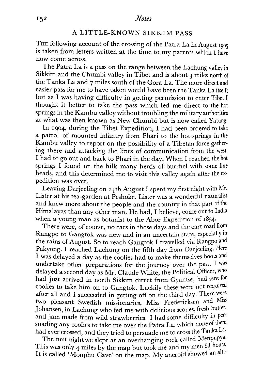## **A** LITTLE-KNOWN SIKKIM PASS

THE following account of the crossing of the Patra La in August **<sup>1905</sup>** is taken from letters written at the time to my parents which I have now come across.

The Patra La is a pass on the range between the Lachung valley in Sikkim and the Chumbi valley in Tibet and is about **3** miles north of the Tanka La and 7 miles south of the Gora La. The more direct and easier pass for me to have taken would have been the Tanka La itself; but as I was having difficulty in getting permission to enter Tibet I thought it better to take the pass which led me direct to the hot springs in the Kambu valley without troubling the military authorities at what was then known as New Chumbi but is now called Yatung.

In 1904, during the Tibet Expedition, I had been ordered to take a patrol of mounted infantry from Phari to the hot springs in the Kambu valley to report on the possibility of a Tibetan force gathering there and attacking the lines of communication from the west. I had to go out and back to Phari in the day. When I reached the hot springs I found on the hills many herds of burrhel with some fine heads, and this determined me to visit this valley again after the expedition was over.

Leaving Darjeeling on 14th August I spent my first night with Mr. Lister at his tea-garden at Peshoke. Lister was a wonderful naturalist and knew more about the people and the country in that part of the Himalayas than any other man. He had, I believe, come out to India when a young man as botanist to the Abor Expedition of  $1854$ .

There were, of course, no cars in those days and the cart road from Rangpo to Gangtok was new and in an uncertain state, especially in the rains of August. So to reach Gangtok I travelled via Rangpo and Pakyong. I reached Lachung on the fifth day from Darjeeling. Here I was delayed a day as the coolies had to make themselves boots and undertake other preparations for the journey over the pass. I was delayed a second day as Mr. Claude White, the Political Officer, who had just arrived in north Sikkim direct from Gyantse, had sent for coolies to take him on to Gangtok. Luckily these were not required after all and I succeeded in getting off on the third day. There were two pleasant Swedish missionaries, Miss Fredericksen and Miss Johansen, in Lachung who fed me with delicious scones, fresh butter, and jam made from wild strawberries. 1 had some difficulty in Persuading any coolies to take me over the Patra La, which none of them had ever crossed, and they tried to persuade me to cross the Tanka La.

The first night we slept at an overhanging rock called Menpupya. This was only 4 miles by the map but took me and my men  $6\frac{1}{2}$  hours. It is called 'Monphu Cave' on the map. My aneroid showed an alti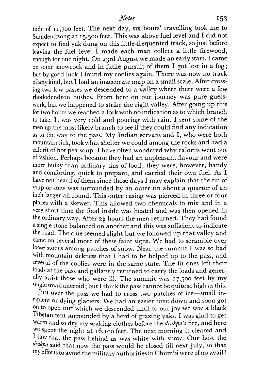tude of 11,700 feet. The next day, six hours' travelling took me to Surndendzong at 15,500 feet. This was above fuel level and I did not expect to find yak dung on this little-frequented track, so just before leaving the fuel level I made each man collect a little firewood, enough for one night. On zgrd August we made an early start. I came on some snowcock and in futile pursuit of them I got lost in a fog; but by good luck I found my coolies again. There was now no track of any kind, but I had an inaccurate map on a small scale. After crossing two low passes we descended to a valley where there were a few rhododendron bushes. From here on our journey was pure guesswork, but we happened to strike the right valley. After going up this for two hours we reached a fork with no indication as to which branch to take. It was very cold and pouring with rain. I sent some of the men up the most likely branch to see if they could find any indication as to the way to the pass. My Indian servant and I, who were both mountain sick, took what shelter we could among the rocks and had a calorit of hot pea-soup. I have often wondered why calorits went out of fashion. Perhaps because they had an unpleasant flavour and were more bulky than ordinary tins of food; they were, however, handy and comforting, quick to prepare, and carried their own fuel. As I have not heard of them since those days I may explain that the tin of soup or stew was surrounded by an outer tin about a quarter of an inch larger all round. This outer casing was pierced in three or four places with a skewer. This allowed two chemicals to mix and in a very short time the food inside was heated and was then opened in the ordinary way. After  $2\frac{1}{2}$  hours the men returned. They had found a single stone balanced on another and this was sufficient to indicate the road. The clue seemed slight but we followed up that valley and came on several more of these faint signs. We had to scramble over loose stones among patches of snow. Near the summit I was so bad with mountain sickness that I had to be helped up to the pass, and several of the coolies were in the same state. The fit ones left their loads at the pass and gallantly returned to carry the loads and generally assist those who were ill. The summit was 17,500 feet by my single small aneroid ; but I think the pass cannot be quite so high as this.

Just over the pass we had to cross two patches of ice-small incipient or dying glaciers. We had an easier time down and soon got <sup>on to</sup> open turf which we descended until to our joy we saw a black Tibetan tent surrounded by **a** herd of grazing yaks. I was glad to get warm and to dry my soaking clothes before the drukpa's fire, and here we spent the night at 16,100 feet. The next morning it cleared and I saw that the pass behind us was white with snow. Our host the  $d\n r$  said that now the pass would be closed till next July, so that efforts to avoid the military authorities in Chumbi were of no **avail** !